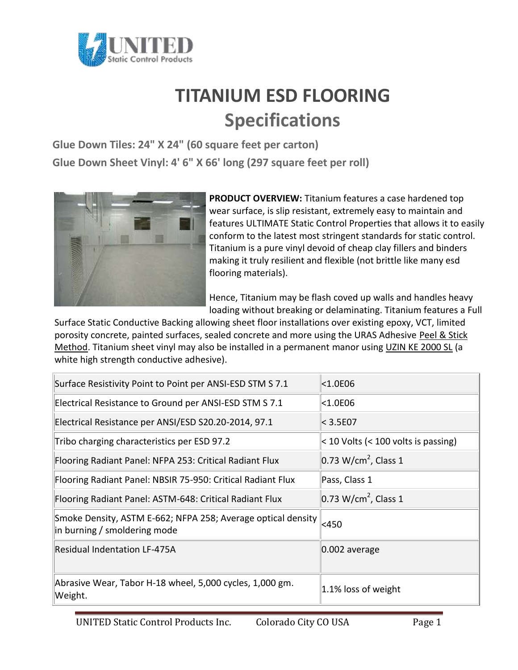

## **TITANIUM ESD FLOORING Specifications**

**Glue Down Tiles: 24" X 24" (60 square feet per carton) Glue Down Sheet Vinyl: 4' 6" X 66' long (297 square feet per roll)**



**PRODUCT OVERVIEW:** Titanium features a case hardened top wear surface, is slip resistant, extremely easy to maintain and features ULTIMATE Static Control Properties that allows it to easily conform to the latest most stringent standards for static control. Titanium is a pure vinyl devoid of cheap clay fillers and binders making it truly resilient and flexible (not brittle like many esd flooring materials).

Hence, Titanium may be flash coved up walls and handles heavy loading without breaking or delaminating. Titanium features a Full

Surface Static Conductive Backing allowing sheet floor installations over existing epoxy, VCT, limited porosity concrete, painted surfaces, sealed concrete and more using the URAS Adhesive Peel & Stick [Method.](https://ultrastatinc.com/industrial_floor_static_uras_installation.html) Titanium sheet vinyl may also be installed in a permanent manor using [UZIN KE 2000 SL](https://ultrastatinc.com/UZINKE200SLProductData0001.pdf) (a white high strength conductive adhesive).

| Surface Resistivity Point to Point per ANSI-ESD STM S 7.1                                    | < 1.0E06                                 |
|----------------------------------------------------------------------------------------------|------------------------------------------|
| Electrical Resistance to Ground per ANSI-ESD STM S 7.1                                       | < 1.0E06                                 |
| Electrical Resistance per ANSI/ESD S20.20-2014, 97.1                                         | $<$ 3.5E07                               |
| Tribo charging characteristics per ESD 97.2                                                  | $<$ 10 Volts ( $<$ 100 volts is passing) |
| Flooring Radiant Panel: NFPA 253: Critical Radiant Flux                                      | $0.73 \text{ W/cm}^2$ , Class 1          |
| Flooring Radiant Panel: NBSIR 75-950: Critical Radiant Flux                                  | Pass, Class 1                            |
| Flooring Radiant Panel: ASTM-648: Critical Radiant Flux                                      | 0.73 W/cm <sup>2</sup> , Class 1         |
| Smoke Density, ASTM E-662; NFPA 258; Average optical density<br>in burning / smoldering mode | $450$                                    |
| <b>Residual Indentation LF-475A</b>                                                          | 0.002 average                            |
| Abrasive Wear, Tabor H-18 wheel, 5,000 cycles, 1,000 gm.<br>Weight.                          | 1.1% loss of weight                      |